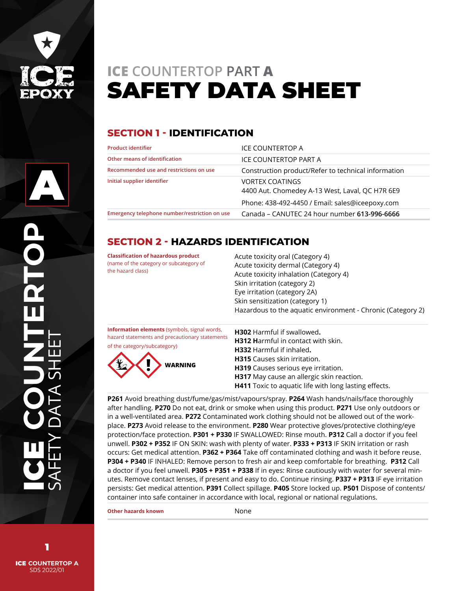

A

# **ICE COUNTERTOP PART A** SAFETY DATA SHEET

# **SECTION 1 - IDENTIFICATION**

| ICE COUNTERTOP A                                                          |
|---------------------------------------------------------------------------|
| ICE COUNTERTOP PART A                                                     |
| Construction product/Refer to technical information                       |
| <b>VORTEX COATINGS</b><br>4400 Aut. Chomedey A-13 West, Laval, QC H7R 6E9 |
| Phone: 438-492-4450 / Email: sales@iceepoxy.com                           |
| Canada – CANUTEC 24 hour number 613-996-6666                              |
|                                                                           |

# **SECTION 2 - HAZARDS IDENTIFICATION**

| <b>Classification of hazardous product</b><br>(name of the category or subcategory of<br>the hazard class)                                              | Acute toxicity oral (Category 4)<br>Acute toxicity dermal (Category 4)<br>Acute toxicity inhalation (Category 4)<br>Skin irritation (category 2)<br>Eye irritation (category 2A)<br>Skin sensitization (category 1)<br>Hazardous to the aquatic environment - Chronic (Category 2)                    |
|---------------------------------------------------------------------------------------------------------------------------------------------------------|-------------------------------------------------------------------------------------------------------------------------------------------------------------------------------------------------------------------------------------------------------------------------------------------------------|
| <b>Information elements</b> (symbols, signal words,<br>hazard statements and precautionary statements<br>of the category/subcategory)<br><b>WARNING</b> | <b>H302</b> Harmful if swallowed.<br>H312 Harmful in contact with skin.<br><b>H332</b> Harmful if inhaled.<br><b>H315</b> Causes skin irritation.<br>H319 Causes serious eye irritation.<br>H317 May cause an allergic skin reaction.<br><b>H411</b> Toxic to aquatic life with long lasting effects. |

**P261** Avoid breathing dust/fume/gas/mist/vapours/spray. **P264** Wash hands/nails/face thoroughly after handling. **P270** Do not eat, drink or smoke when using this product. **P271** Use only outdoors or in a well-ventilated area. **P272** Contaminated work clothing should not be allowed out of the workplace. **P273** Avoid release to the environment. **P280** Wear protective gloves/protective clothing/eye protection/face protection. **P301 + P330** IF SWALLOWED: Rinse mouth. **P312** Call a doctor if you feel unwell. **P302 + P352** IF ON SKIN: wash with plenty of water. **P333 + P313** IF SKIN irritation or rash occurs: Get medical attention. **P362 + P364** Take off contaminated clothing and wash it before reuse. **P304 + P340** IF INHALED: Remove person to fresh air and keep comfortable for breathing. **P312** Call a doctor if you feel unwell. **P305 + P351 + P338** If in eyes: Rinse cautiously with water for several minutes. Remove contact lenses, if present and easy to do. Continue rinsing. **P337 + P313** IF eye irritation persists: Get medical attention. **P391** Collect spillage. **P405** Store locked up. **P501** Dispose of contents/ container into safe container in accordance with local, regional or national regulations.

**Other hazards known** None

ICE **COUNTERTOP A** SDS 2022/01 1

ICE **COUNTERTOP**

SAFETY DATA SHEET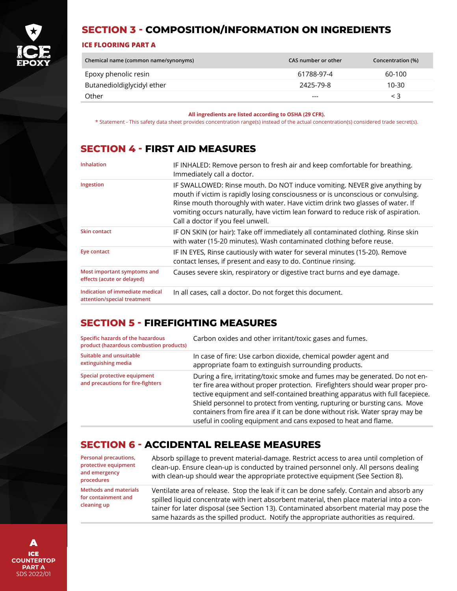

## **SECTION 3 - COMPOSITION/INFORMATION ON INGREDIENTS**

#### **ICE FLOORING PART A**

| Chemical name (common name/synonyms) | CAS number or other | Concentration (%) |
|--------------------------------------|---------------------|-------------------|
| Epoxy phenolic resin                 | 61788-97-4          | 60-100            |
| Butanedioldiglycidyl ether           | 2425-79-8           | 10-30             |
| Other                                | $---$               | $\leq 3$          |

**All ingredients are listed according to OSHA (29 CFR).**

\* Statement - This safety data sheet provides concentration range(s) instead of the actual concentration(s) considered trade secret(s).

#### **SECTION 4 - FIRST AID MEASURES**

| Inhalation                                                     | IF INHALED: Remove person to fresh air and keep comfortable for breathing.<br>Immediately call a doctor.                                                                                                                                                                                                                                                                 |
|----------------------------------------------------------------|--------------------------------------------------------------------------------------------------------------------------------------------------------------------------------------------------------------------------------------------------------------------------------------------------------------------------------------------------------------------------|
| Ingestion                                                      | IF SWALLOWED: Rinse mouth. Do NOT induce vomiting. NEVER give anything by<br>mouth if victim is rapidly losing consciousness or is unconscious or convulsing.<br>Rinse mouth thoroughly with water. Have victim drink two glasses of water. If<br>vomiting occurs naturally, have victim lean forward to reduce risk of aspiration.<br>Call a doctor if you feel unwell. |
| <b>Skin contact</b>                                            | IF ON SKIN (or hair): Take off immediately all contaminated clothing. Rinse skin<br>with water (15-20 minutes). Wash contaminated clothing before reuse.                                                                                                                                                                                                                 |
| Eye contact                                                    | IF IN EYES, Rinse cautiously with water for several minutes (15-20). Remove<br>contact lenses, if present and easy to do. Continue rinsing.                                                                                                                                                                                                                              |
| Most important symptoms and<br>effects (acute or delayed)      | Causes severe skin, respiratory or digestive tract burns and eye damage.                                                                                                                                                                                                                                                                                                 |
| Indication of immediate medical<br>attention/special treatment | In all cases, call a doctor. Do not forget this document.                                                                                                                                                                                                                                                                                                                |

#### **SECTION 5 - FIREFIGHTING MEASURES**

| Specific hazards of the hazardous<br>product (hazardous combustion products) | Carbon oxides and other irritant/toxic gases and fumes.                                                                                                                                                                                                                                                                                                                                                                                                                         |
|------------------------------------------------------------------------------|---------------------------------------------------------------------------------------------------------------------------------------------------------------------------------------------------------------------------------------------------------------------------------------------------------------------------------------------------------------------------------------------------------------------------------------------------------------------------------|
| Suitable and unsuitable<br>extinguishing media                               | In case of fire: Use carbon dioxide, chemical powder agent and<br>appropriate foam to extinguish surrounding products.                                                                                                                                                                                                                                                                                                                                                          |
| Special protective equipment<br>and precautions for fire-fighters            | During a fire, irritating/toxic smoke and fumes may be generated. Do not en-<br>ter fire area without proper protection. Firefighters should wear proper pro-<br>tective equipment and self-contained breathing apparatus with full facepiece.<br>Shield personnel to protect from venting, rupturing or bursting cans. Move<br>containers from fire area if it can be done without risk. Water spray may be<br>useful in cooling equipment and cans exposed to heat and flame. |

#### **SECTION 6 - ACCIDENTAL RELEASE MEASURES**

| Personal precautions,<br>protective equipment<br>and emergency<br>procedures | Absorb spillage to prevent material-damage. Restrict access to area until completion of<br>clean-up. Ensure clean-up is conducted by trained personnel only. All persons dealing<br>with clean-up should wear the appropriate protective equipment (See Section 8). |
|------------------------------------------------------------------------------|---------------------------------------------------------------------------------------------------------------------------------------------------------------------------------------------------------------------------------------------------------------------|
| <b>Methods and materials</b>                                                 | Ventilate area of release. Stop the leak if it can be done safely. Contain and absorb any                                                                                                                                                                           |
| for containment and                                                          | spilled liquid concentrate with inert absorbent material, then place material into a con-                                                                                                                                                                           |
| cleaning up                                                                  | tainer for later disposal (see Section 13). Contaminated absorbent material may pose the                                                                                                                                                                            |

same hazards as the spilled product. Notify the appropriate authorities as required.

ICE **COUNTERTOP PART A** SDS 2022/01 A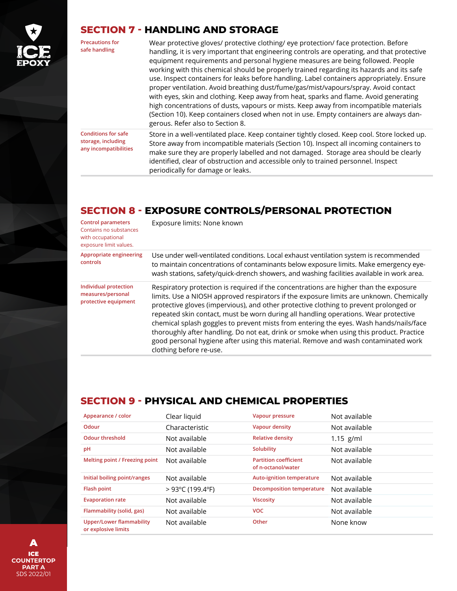

#### **SECTION 7 - HANDLING AND STORAGE**

| <b>Precautions for</b><br>safe handling                                   | Wear protective gloves/ protective clothing/ eye protection/ face protection. Before<br>handling, it is very important that engineering controls are operating, and that protective<br>equipment requirements and personal hygiene measures are being followed. People<br>working with this chemical should be properly trained regarding its hazards and its safe<br>use. Inspect containers for leaks before handling. Label containers appropriately. Ensure<br>proper ventilation. Avoid breathing dust/fume/gas/mist/vapours/spray. Avoid contact<br>with eyes, skin and clothing. Keep away from heat, sparks and flame. Avoid generating<br>high concentrations of dusts, vapours or mists. Keep away from incompatible materials<br>(Section 10). Keep containers closed when not in use. Empty containers are always dan-<br>gerous. Refer also to Section 8. |
|---------------------------------------------------------------------------|------------------------------------------------------------------------------------------------------------------------------------------------------------------------------------------------------------------------------------------------------------------------------------------------------------------------------------------------------------------------------------------------------------------------------------------------------------------------------------------------------------------------------------------------------------------------------------------------------------------------------------------------------------------------------------------------------------------------------------------------------------------------------------------------------------------------------------------------------------------------|
| <b>Conditions for safe</b><br>storage, including<br>any incompatibilities | Store in a well-ventilated place. Keep container tightly closed. Keep cool. Store locked up.<br>Store away from incompatible materials (Section 10). Inspect all incoming containers to<br>make sure they are properly labelled and not damaged. Storage area should be clearly<br>identified, clear of obstruction and accessible only to trained personnel. Inspect<br>periodically for damage or leaks.                                                                                                                                                                                                                                                                                                                                                                                                                                                             |

## **SECTION 8 - EXPOSURE CONTROLS/PERSONAL PROTECTION**

| <b>Control parameters</b><br>Contains no substances<br>with occupational<br>exposure limit values. | Exposure limits: None known                                                                                                                                                                                                                                                                                                                                                                                                                                                                                                                                                                                                                                            |
|----------------------------------------------------------------------------------------------------|------------------------------------------------------------------------------------------------------------------------------------------------------------------------------------------------------------------------------------------------------------------------------------------------------------------------------------------------------------------------------------------------------------------------------------------------------------------------------------------------------------------------------------------------------------------------------------------------------------------------------------------------------------------------|
| Appropriate engineering<br>controls                                                                | Use under well-ventilated conditions. Local exhaust ventilation system is recommended<br>to maintain concentrations of contaminants below exposure limits. Make emergency eye-<br>wash stations, safety/quick-drench showers, and washing facilities available in work area.                                                                                                                                                                                                                                                                                                                                                                                           |
| Individual protection<br>measures/personal<br>protective equipment                                 | Respiratory protection is required if the concentrations are higher than the exposure<br>limits. Use a NIOSH approved respirators if the exposure limits are unknown. Chemically<br>protective gloves (impervious), and other protective clothing to prevent prolonged or<br>repeated skin contact, must be worn during all handling operations. Wear protective<br>chemical splash goggles to prevent mists from entering the eyes. Wash hands/nails/face<br>thoroughly after handling. Do not eat, drink or smoke when using this product. Practice<br>good personal hygiene after using this material. Remove and wash contaminated work<br>clothing before re-use. |

# **SECTION 9 - PHYSICAL AND CHEMICAL PROPERTIES**

| Appearance / color                                     | Clear liquid                         | Vapour pressure                                    | Not available |
|--------------------------------------------------------|--------------------------------------|----------------------------------------------------|---------------|
| <b>Odour</b>                                           | Characteristic                       | Vapour density                                     | Not available |
| <b>Odour threshold</b>                                 | Not available                        | <b>Relative density</b>                            | $1.15$ g/ml   |
| pH                                                     | Not available                        | Solubility                                         | Not available |
| Melting point / Freezing point                         | Not available                        | <b>Partition coefficient</b><br>of n-octanol/water | Not available |
| Initial boiling point/ranges                           | Not available                        | Auto-ignition temperature                          | Not available |
| <b>Flash point</b>                                     | $>93^{\circ}$ C (199.4 $^{\circ}$ F) | <b>Decomposition temperature</b>                   | Not available |
| <b>Evaporation rate</b>                                | Not available                        | <b>Viscosity</b>                                   | Not available |
| Flammability (solid, gas)                              | Not available                        | <b>VOC</b>                                         | Not available |
| <b>Upper/Lower flammability</b><br>or explosive limits | Not available                        | Other                                              | None know     |

ICE **COUNTERTOP PART A** SDS 2022/01 A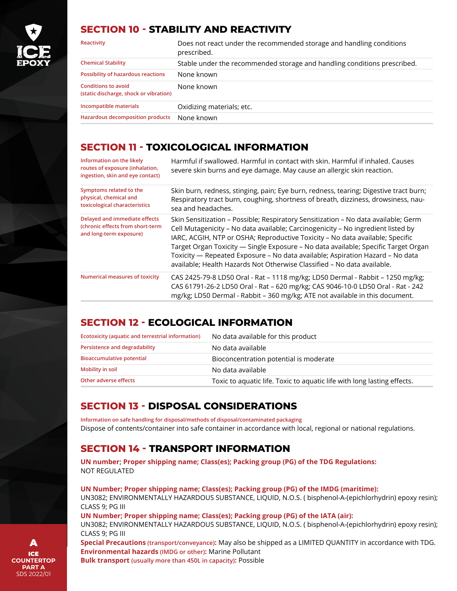

#### **SECTION 10 - STABILITY AND REACTIVITY**

| Reactivity                                                           | Does not react under the recommended storage and handling conditions<br>prescribed. |
|----------------------------------------------------------------------|-------------------------------------------------------------------------------------|
| <b>Chemical Stability</b>                                            | Stable under the recommended storage and handling conditions prescribed.            |
| Possibility of hazardous reactions                                   | None known                                                                          |
| <b>Conditions to avoid</b><br>(static discharge, shock or vibration) | None known                                                                          |
| Incompatible materials                                               | Oxidizing materials; etc.                                                           |
| Hazardous decomposition products                                     | None known                                                                          |

## **SECTION 11 - TOXICOLOGICAL INFORMATION**

| Information on the likely<br>routes of exposure (inhalation,<br>ingestion, skin and eye contact) | Harmful if swallowed. Harmful in contact with skin. Harmful if inhaled. Causes<br>severe skin burns and eye damage. May cause an allergic skin reaction.                                                                                                                                                                                                                                                                                                                                                  |
|--------------------------------------------------------------------------------------------------|-----------------------------------------------------------------------------------------------------------------------------------------------------------------------------------------------------------------------------------------------------------------------------------------------------------------------------------------------------------------------------------------------------------------------------------------------------------------------------------------------------------|
| Symptoms related to the<br>physical, chemical and<br>toxicological characteristics               | Skin burn, redness, stinging, pain; Eye burn, redness, tearing; Digestive tract burn;<br>Respiratory tract burn, coughing, shortness of breath, dizziness, drowsiness, nau-<br>sea and headaches.                                                                                                                                                                                                                                                                                                         |
| Delayed and immediate effects<br>(chronic effects from short-term<br>and long-term exposure)     | Skin Sensitization - Possible; Respiratory Sensitization - No data available; Germ<br>Cell Mutagenicity - No data available; Carcinogenicity - No ingredient listed by<br>IARC, ACGIH, NTP or OSHA; Reproductive Toxicity - No data available; Specific<br>Target Organ Toxicity — Single Exposure - No data available; Specific Target Organ<br>Toxicity - Repeated Exposure - No data available; Aspiration Hazard - No data<br>available; Health Hazards Not Otherwise Classified - No data available. |
| Numerical measures of toxicity                                                                   | CAS 2425-79-8 LD50 Oral - Rat – 1118 mg/kg; LD50 Dermal - Rabbit – 1250 mg/kg;<br>CAS 61791-26-2 LD50 Oral - Rat - 620 mg/kg; CAS 9046-10-0 LD50 Oral - Rat - 242<br>mg/kg; LD50 Dermal - Rabbit - 360 mg/kg; ATE not available in this document.                                                                                                                                                                                                                                                         |

# **SECTION 12 - ECOLOGICAL INFORMATION**

| Ecotoxicity (aquatic and terrestrial information) | No data available for this product                                      |
|---------------------------------------------------|-------------------------------------------------------------------------|
| Persistence and degradability                     | No data available                                                       |
| <b>Bioaccumulative potential</b>                  | Bioconcentration potential is moderate                                  |
| Mobility in soil                                  | No data available                                                       |
| Other adverse effects                             | Toxic to aquatic life. Toxic to aquatic life with long lasting effects. |

# **SECTION 13 - DISPOSAL CONSIDERATIONS**

**Information on safe handling for disposal/methods of disposal/contaminated packaging**  Dispose of contents/container into safe container in accordance with local, regional or national regulations.

# **SECTION 14 - TRANSPORT INFORMATION**

**UN number; Proper shipping name; Class(es); Packing group (PG) of the TDG Regulations:** NOT REGULATED

**UN Number; Proper shipping name; Class(es); Packing group (PG) of the IMDG (maritime):** UN3082; ENVIRONMENTALLY HAZARDOUS SUBSTANCE, LIQUID, N.O.S. ( bisphenol-A-(epichlorhydrin) epoxy resin); CLASS 9; PG III

#### **UN Number; Proper shipping name; Class(es); Packing group (PG) of the IATA (air):**

UN3082; ENVIRONMENTALLY HAZARDOUS SUBSTANCE, LIQUID, N.O.S. ( bisphenol-A-(epichlorhydrin) epoxy resin); CLASS 9; PG III

**Special Precautions (transport/conveyance):** May also be shipped as a LIMITED QUANTITY in accordance with TDG. **Environmental hazards (IMDG or other):** Marine Pollutant

**Bulk transport (usually more than 450L in capacity):** Possible

ICE **COUNTERTOP PART A** SDS 2022/01 A